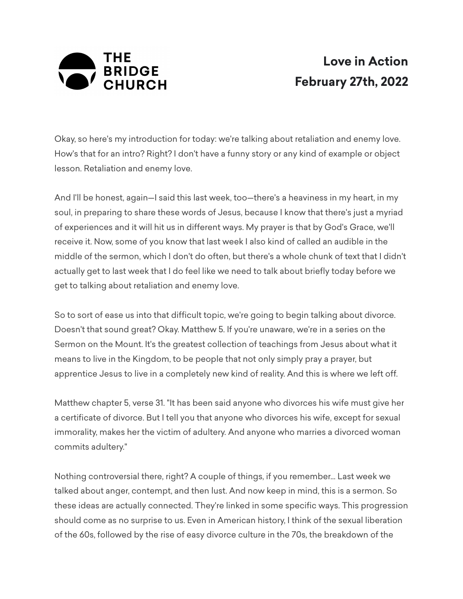

## **Love in Action February 27th, 2022**

Okay, so here's my introduction for today: we're talking about retaliation and enemy love. How's that for an intro? Right? I don't have a funny story or any kind of example or object lesson. Retaliation and enemy love.

And I'll be honest, again—I said this last week, too—there's a heaviness in my heart, in my soul, in preparing to share these words of Jesus, because I know that there's just a myriad of experiences and it will hit us in different ways. My prayer is that by God's Grace, we'll receive it. Now, some of you know that last week I also kind of called an audible in the middle of the sermon, which I don't do often, but there's a whole chunk of text that I didn't actually get to last week that I do feel like we need to talk about briefly today before we get to talking about retaliation and enemy love.

So to sort of ease us into that difficult topic, we're going to begin talking about divorce. Doesn't that sound great? Okay. Matthew 5. If you're unaware, we're in a series on the Sermon on the Mount. It's the greatest collection of teachings from Jesus about what it means to live in the Kingdom, to be people that not only simply pray a prayer, but apprentice Jesus to live in a completely new kind of reality. And this is where we left off.

Matthew chapter 5, verse 31. "It has been said anyone who divorces his wife must give her a certificate of divorce. But I tell you that anyone who divorces his wife, except for sexual immorality, makes her the victim of adultery. And anyone who marries a divorced woman commits adultery."

Nothing controversial there, right? A couple of things, if you remember... Last week we talked about anger, contempt, and then lust. And now keep in mind, this is a sermon. So these ideas are actually connected. They're linked in some specific ways. This progression should come as no surprise to us. Even in American history, I think of the sexual liberation of the 60s, followed by the rise of easy divorce culture in the 70s, the breakdown of the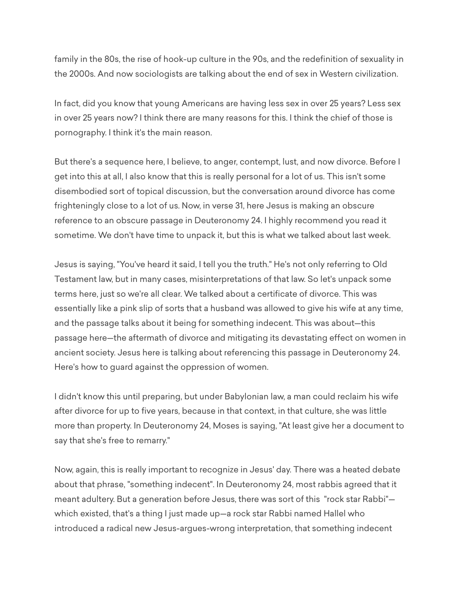family in the 80s, the rise of hook-up culture in the 90s, and the redefinition of sexuality in the 2000s. And now sociologists are talking about the end of sex in Western civilization.

In fact, did you know that young Americans are having less sex in over 25 years? Less sex in over 25 years now? I think there are many reasons for this. I think the chief of those is pornography. I think it's the main reason.

But there's a sequence here, I believe, to anger, contempt, lust, and now divorce. Before I get into this at all, I also know that this is really personal for a lot of us. This isn't some disembodied sort of topical discussion, but the conversation around divorce has come frighteningly close to a lot of us. Now, in verse 31, here Jesus is making an obscure reference to an obscure passage in Deuteronomy 24. I highly recommend you read it sometime. We don't have time to unpack it, but this is what we talked about last week.

Jesus is saying, "You've heard it said, I tell you the truth." He's not only referring to Old Testament law, but in many cases, misinterpretations of that law. So let's unpack some terms here, just so we're all clear. We talked about a certificate of divorce. This was essentially like a pink slip of sorts that a husband was allowed to give his wife at any time, and the passage talks about it being for something indecent. This was about—this passage here—the aftermath of divorce and mitigating its devastating effect on women in ancient society. Jesus here is talking about referencing this passage in Deuteronomy 24. Here's how to guard against the oppression of women.

I didn't know this until preparing, but under Babylonian law, a man could reclaim his wife after divorce for up to five years, because in that context, in that culture, she was little more than property. In Deuteronomy 24, Moses is saying, "At least give her a document to say that she's free to remarry."

Now, again, this is really important to recognize in Jesus' day. There was a heated debate about that phrase, "something indecent". In Deuteronomy 24, most rabbis agreed that it meant adultery. But a generation before Jesus, there was sort of this "rock star Rabbi" which existed, that's a thing I just made up—a rock star Rabbi named Hallel who introduced a radical new Jesus-argues-wrong interpretation, that something indecent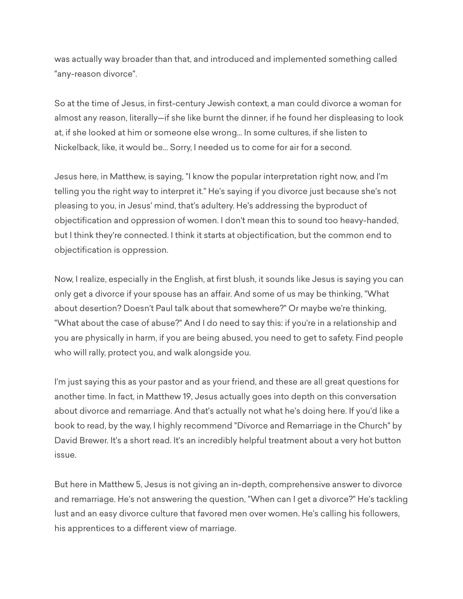was actually way broader than that, and introduced and implemented something called "any-reason divorce".

So at the time of Jesus, in first-century Jewish context, a man could divorce a woman for almost any reason, literally—if she like burnt the dinner, if he found her displeasing to look at, if she looked at him or someone else wrong... In some cultures, if she listen to Nickelback, like, it would be... Sorry, I needed us to come for air for a second.

Jesus here, in Matthew, is saying, "I know the popular interpretation right now, and I'm telling you the right way to interpret it." He's saying if you divorce just because she's not pleasing to you, in Jesus' mind, that's adultery. He's addressing the byproduct of objectification and oppression of women. I don't mean this to sound too heavy-handed, but I think they're connected. I think it starts at objectification, but the common end to objectification is oppression.

Now, I realize, especially in the English, at first blush, it sounds like Jesus is saying you can only get a divorce if your spouse has an affair. And some of us may be thinking, "What about desertion? Doesn't Paul talk about that somewhere?" Or maybe we're thinking, "What about the case of abuse?" And I do need to say this: if you're in a relationship and you are physically in harm, if you are being abused, you need to get to safety. Find people who will rally, protect you, and walk alongside you.

I'm just saying this as your pastor and as your friend, and these are all great questions for another time. In fact, in Matthew 19, Jesus actually goes into depth on this conversation about divorce and remarriage. And that's actually not what he's doing here. If you'd like a book to read, by the way, I highly recommend "Divorce and Remarriage in the Church" by David Brewer. It's a short read. It's an incredibly helpful treatment about a very hot button issue.

But here in Matthew 5, Jesus is not giving an in-depth, comprehensive answer to divorce and remarriage. He's not answering the question, "When can I get a divorce?" He's tackling lust and an easy divorce culture that favored men over women. He's calling his followers, his apprentices to a different view of marriage.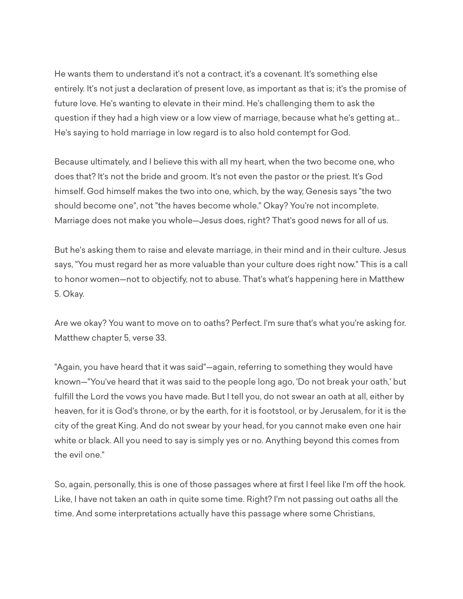He wants them to understand it's not a contract, it's a covenant. It's something else entirely. It's not just a declaration of present love, as important as that is; it's the promise of future love. He's wanting to elevate in their mind. He's challenging them to ask the question if they had a high view or a low view of marriage, because what he's getting at... He's saying to hold marriage in low regard is to also hold contempt for God.

Because ultimately, and I believe this with all my heart, when the two become one, who does that? It's not the bride and groom. It's not even the pastor or the priest. It's God himself. God himself makes the two into one, which, by the way, Genesis says "the two should become one", not "the haves become whole." Okay? You're not incomplete. Marriage does not make you whole—Jesus does, right? That's good news for all of us.

But he's asking them to raise and elevate marriage, in their mind and in their culture. Jesus says, "You must regard her as more valuable than your culture does right now." This is a call to honor women—not to objectify, not to abuse. That's what's happening here in Matthew 5. Okay.

Are we okay? You want to move on to oaths? Perfect. I'm sure that's what you're asking for. Matthew chapter 5, verse 33.

"Again, you have heard that it was said"—again, referring to something they would have known—"You've heard that it was said to the people long ago, 'Do not break your oath,' but fulfill the Lord the vows you have made. But I tell you, do not swear an oath at all, either by heaven, for it is God's throne, or by the earth, for it is footstool, or by Jerusalem, for it is the city of the great King. And do not swear by your head, for you cannot make even one hair white or black. All you need to say is simply yes or no. Anything beyond this comes from the evil one."

So, again, personally, this is one of those passages where at first I feel like I'm off the hook. Like, I have not taken an oath in quite some time. Right? I'm not passing out oaths all the time. And some interpretations actually have this passage where some Christians,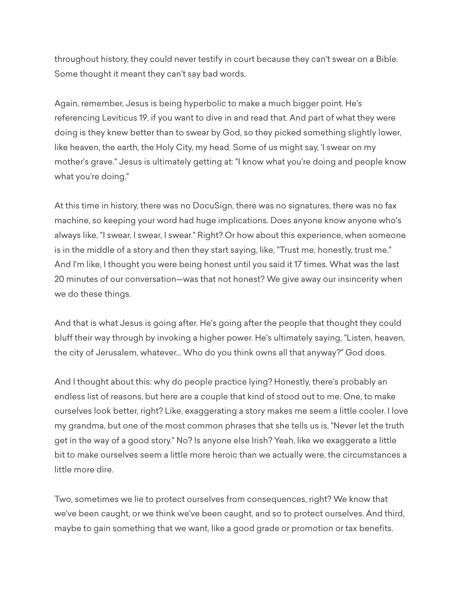throughout history, they could never testify in court because they can't swear on a Bible. Some thought it meant they can't say bad words.

Again, remember, Jesus is being hyperbolic to make a much bigger point. He's referencing Leviticus 19, if you want to dive in and read that. And part of what they were doing is they knew better than to swear by God, so they picked something slightly lower, like heaven, the earth, the Holy City, my head. Some of us might say, 'I swear on my mother's grave." Jesus is ultimately getting at: "I know what you're doing and people know what you're doing."

At this time in history, there was no DocuSign, there was no signatures, there was no fax machine, so keeping your word had huge implications. Does anyone know anyone who's always like, "I swear, I swear, I swear." Right? Or how about this experience, when someone is in the middle of a story and then they start saying, like, "Trust me, honestly, trust me." And I'm like, I thought you were being honest until you said it 17 times. What was the last 20 minutes of our conversation—was that not honest? We give away our insincerity when we do these things.

And that is what Jesus is going after. He's going after the people that thought they could bluff their way through by invoking a higher power. He's ultimately saying, "Listen, heaven, the city of Jerusalem, whatever... Who do you think owns all that anyway?" God does.

And I thought about this: why do people practice lying? Honestly, there's probably an endless list of reasons, but here are a couple that kind of stood out to me. One, to make ourselves look better, right? Like, exaggerating a story makes me seem a little cooler. I love my grandma, but one of the most common phrases that she tells us is, "Never let the truth get in the way of a good story." No? Is anyone else Irish? Yeah, like we exaggerate a little bit to make ourselves seem a little more heroic than we actually were, the circumstances a little more dire.

Two, sometimes we lie to protect ourselves from consequences, right? We know that we've been caught, or we think we've been caught, and so to protect ourselves. And third, maybe to gain something that we want, like a good grade or promotion or tax benefits.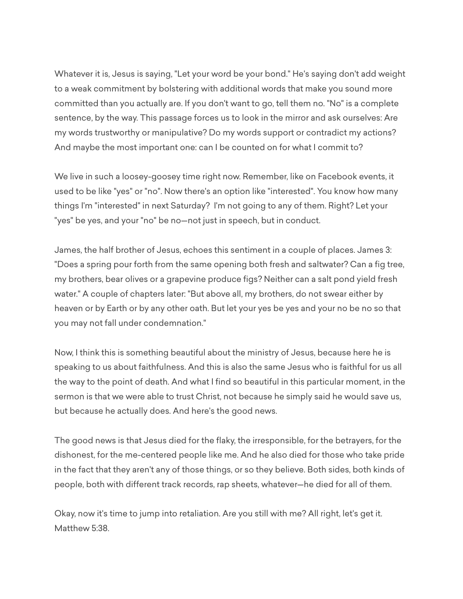Whatever it is, Jesus is saying, "Let your word be your bond." He's saying don't add weight to a weak commitment by bolstering with additional words that make you sound more committed than you actually are. If you don't want to go, tell them no. "No" is a complete sentence, by the way. This passage forces us to look in the mirror and ask ourselves: Are my words trustworthy or manipulative? Do my words support or contradict my actions? And maybe the most important one: can I be counted on for what I commit to?

We live in such a loosey-goosey time right now. Remember, like on Facebook events, it used to be like "yes" or "no". Now there's an option like "interested". You know how many things I'm "interested" in next Saturday? I'm not going to any of them. Right? Let your "yes" be yes, and your "no" be no—not just in speech, but in conduct.

James, the half brother of Jesus, echoes this sentiment in a couple of places. James 3: "Does a spring pour forth from the same opening both fresh and saltwater? Can a fig tree, my brothers, bear olives or a grapevine produce figs? Neither can a salt pond yield fresh water." A couple of chapters later: "But above all, my brothers, do not swear either by heaven or by Earth or by any other oath. But let your yes be yes and your no be no so that you may not fall under condemnation."

Now, I think this is something beautiful about the ministry of Jesus, because here he is speaking to us about faithfulness. And this is also the same Jesus who is faithful for us all the way to the point of death. And what I find so beautiful in this particular moment, in the sermon is that we were able to trust Christ, not because he simply said he would save us, but because he actually does. And here's the good news.

The good news is that Jesus died for the flaky, the irresponsible, for the betrayers, for the dishonest, for the me-centered people like me. And he also died for those who take pride in the fact that they aren't any of those things, or so they believe. Both sides, both kinds of people, both with different track records, rap sheets, whatever—he died for all of them.

Okay, now it's time to jump into retaliation. Are you still with me? All right, let's get it. Matthew 5:38.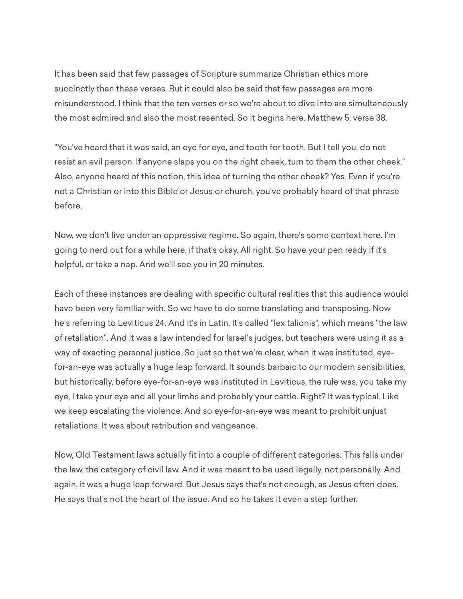It has been said that few passages of Scripture summarize Christian ethics more succinctly than these verses. But it could also be said that few passages are more misunderstood. I think that the ten verses or so we're about to dive into are simultaneously the most admired and also the most resented. So it begins here. Matthew 5, verse 38.

"You've heard that it was said, an eye for eye, and tooth for tooth. But I tell you, do not resist an evil person. If anyone slaps you on the right cheek, turn to them the other cheek." Also, anyone heard of this notion, this idea of turning the other cheek? Yes. Even if you're not a Christian or into this Bible or Jesus or church, you've probably heard of that phrase before.

Now, we don't live under an oppressive regime. So again, there's some context here. I'm going to nerd out for a while here, if that's okay. All right. So have your pen ready if it's helpful, or take a nap. And we'll see you in 20 minutes.

Each of these instances are dealing with specific cultural realities that this audience would have been very familiar with. So we have to do some translating and transposing. Now he's referring to Leviticus 24. And it's in Latin. It's called "lex talionis", which means "the law of retaliation". And it was a law intended for Israel's judges, but teachers were using it as a way of exacting personal justice. So just so that we're clear, when it was instituted, eyefor-an-eye was actually a huge leap forward. It sounds barbaic to our modern sensibilities, but historically, before eye-for-an-eye was instituted in Leviticus, the rule was, you take my eye, I take your eye and all your limbs and probably your cattle. Right? It was typical. Like we keep escalating the violence. And so eye-for-an-eye was meant to prohibit unjust retaliations. It was about retribution and vengeance.

Now, Old Testament laws actually fit into a couple of different categories. This falls under the law, the category of civil law. And it was meant to be used legally, not personally. And again, it was a huge leap forward. But Jesus says that's not enough, as Jesus often does. He says that's not the heart of the issue. And so he takes it even a step further.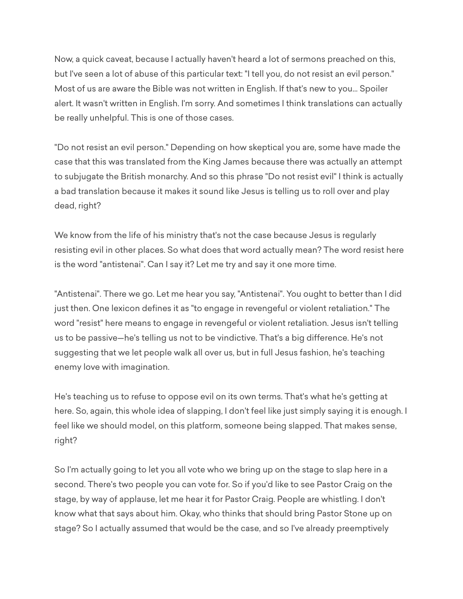Now, a quick caveat, because I actually haven't heard a lot of sermons preached on this, but I've seen a lot of abuse of this particular text: "I tell you, do not resist an evil person." Most of us are aware the Bible was not written in English. If that's new to you... Spoiler alert. It wasn't written in English. I'm sorry. And sometimes I think translations can actually be really unhelpful. This is one of those cases.

"Do not resist an evil person." Depending on how skeptical you are, some have made the case that this was translated from the King James because there was actually an attempt to subjugate the British monarchy. And so this phrase "Do not resist evil" I think is actually a bad translation because it makes it sound like Jesus is telling us to roll over and play dead, right?

We know from the life of his ministry that's not the case because Jesus is regularly resisting evil in other places. So what does that word actually mean? The word resist here is the word "antistenai". Can I say it? Let me try and say it one more time.

"Antistenai". There we go. Let me hear you say, "Antistenai". You ought to better than I did just then. One lexicon defines it as "to engage in revengeful or violent retaliation." The word "resist" here means to engage in revengeful or violent retaliation. Jesus isn't telling us to be passive—he's telling us not to be vindictive. That's a big difference. He's not suggesting that we let people walk all over us, but in full Jesus fashion, he's teaching enemy love with imagination.

He's teaching us to refuse to oppose evil on its own terms. That's what he's getting at here. So, again, this whole idea of slapping, I don't feel like just simply saying it is enough. I feel like we should model, on this platform, someone being slapped. That makes sense, right?

So I'm actually going to let you all vote who we bring up on the stage to slap here in a second. There's two people you can vote for. So if you'd like to see Pastor Craig on the stage, by way of applause, let me hear it for Pastor Craig. People are whistling. I don't know what that says about him. Okay, who thinks that should bring Pastor Stone up on stage? So I actually assumed that would be the case, and so I've already preemptively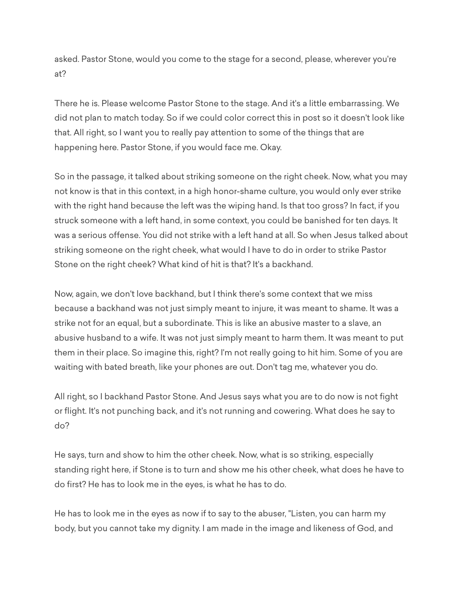asked. Pastor Stone, would you come to the stage for a second, please, wherever you're at?

There he is. Please welcome Pastor Stone to the stage. And it's a little embarrassing. We did not plan to match today. So if we could color correct this in post so it doesn't look like that. All right, so I want you to really pay attention to some of the things that are happening here. Pastor Stone, if you would face me. Okay.

So in the passage, it talked about striking someone on the right cheek. Now, what you may not know is that in this context, in a high honor-shame culture, you would only ever strike with the right hand because the left was the wiping hand. Is that too gross? In fact, if you struck someone with a left hand, in some context, you could be banished for ten days. It was a serious offense. You did not strike with a left hand at all. So when Jesus talked about striking someone on the right cheek, what would I have to do in order to strike Pastor Stone on the right cheek? What kind of hit is that? It's a backhand.

Now, again, we don't love backhand, but I think there's some context that we miss because a backhand was not just simply meant to injure, it was meant to shame. It was a strike not for an equal, but a subordinate. This is like an abusive master to a slave, an abusive husband to a wife. It was not just simply meant to harm them. It was meant to put them in their place. So imagine this, right? I'm not really going to hit him. Some of you are waiting with bated breath, like your phones are out. Don't tag me, whatever you do.

All right, so I backhand Pastor Stone. And Jesus says what you are to do now is not fight or flight. It's not punching back, and it's not running and cowering. What does he say to do?

He says, turn and show to him the other cheek. Now, what is so striking, especially standing right here, if Stone is to turn and show me his other cheek, what does he have to do first? He has to look me in the eyes, is what he has to do.

He has to look me in the eyes as now if to say to the abuser, "Listen, you can harm my body, but you cannot take my dignity. I am made in the image and likeness of God, and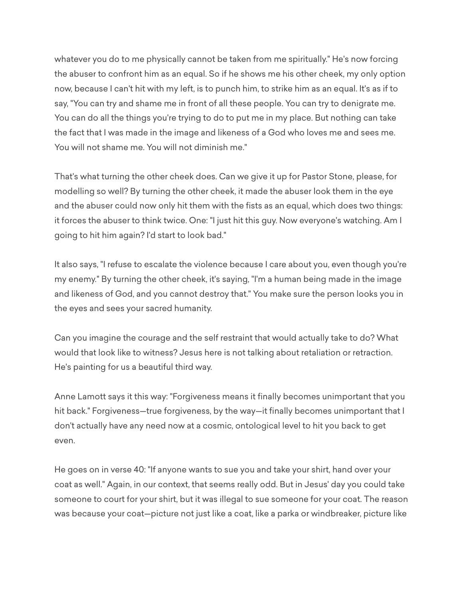whatever you do to me physically cannot be taken from me spiritually." He's now forcing the abuser to confront him as an equal. So if he shows me his other cheek, my only option now, because I can't hit with my left, is to punch him, to strike him as an equal. It's as if to say, "You can try and shame me in front of all these people. You can try to denigrate me. You can do all the things you're trying to do to put me in my place. But nothing can take the fact that I was made in the image and likeness of a God who loves me and sees me. You will not shame me. You will not diminish me."

That's what turning the other cheek does. Can we give it up for Pastor Stone, please, for modelling so well? By turning the other cheek, it made the abuser look them in the eye and the abuser could now only hit them with the fists as an equal, which does two things: it forces the abuser to think twice. One: "I just hit this guy. Now everyone's watching. Am I going to hit him again? I'd start to look bad."

It also says, "I refuse to escalate the violence because I care about you, even though you're my enemy." By turning the other cheek, it's saying, "I'm a human being made in the image and likeness of God, and you cannot destroy that." You make sure the person looks you in the eyes and sees your sacred humanity.

Can you imagine the courage and the self restraint that would actually take to do? What would that look like to witness? Jesus here is not talking about retaliation or retraction. He's painting for us a beautiful third way.

Anne Lamott says it this way: "Forgiveness means it finally becomes unimportant that you hit back." Forgiveness—true forgiveness, by the way—it finally becomes unimportant that I don't actually have any need now at a cosmic, ontological level to hit you back to get even.

He goes on in verse 40: "If anyone wants to sue you and take your shirt, hand over your coat as well." Again, in our context, that seems really odd. But in Jesus' day you could take someone to court for your shirt, but it was illegal to sue someone for your coat. The reason was because your coat—picture not just like a coat, like a parka or windbreaker, picture like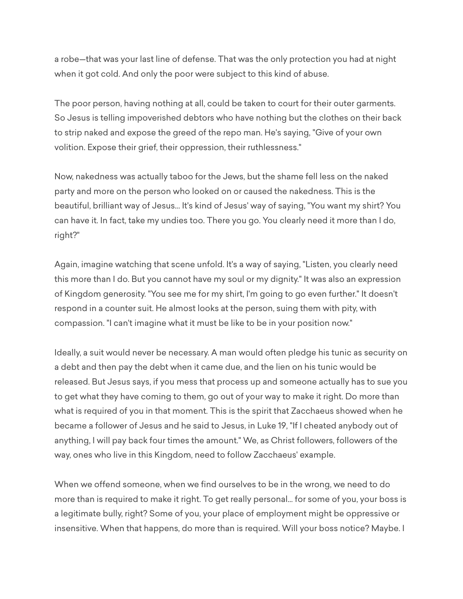a robe—that was your last line of defense. That was the only protection you had at night when it got cold. And only the poor were subject to this kind of abuse.

The poor person, having nothing at all, could be taken to court for their outer garments. So Jesus is telling impoverished debtors who have nothing but the clothes on their back to strip naked and expose the greed of the repo man. He's saying, "Give of your own volition. Expose their grief, their oppression, their ruthlessness."

Now, nakedness was actually taboo for the Jews, but the shame fell less on the naked party and more on the person who looked on or caused the nakedness. This is the beautiful, brilliant way of Jesus... It's kind of Jesus' way of saying, "You want my shirt? You can have it. In fact, take my undies too. There you go. You clearly need it more than I do, right?"

Again, imagine watching that scene unfold. It's a way of saying, "Listen, you clearly need this more than I do. But you cannot have my soul or my dignity." It was also an expression of Kingdom generosity. "You see me for my shirt, I'm going to go even further." It doesn't respond in a counter suit. He almost looks at the person, suing them with pity, with compassion. "I can't imagine what it must be like to be in your position now."

Ideally, a suit would never be necessary. A man would often pledge his tunic as security on a debt and then pay the debt when it came due, and the lien on his tunic would be released. But Jesus says, if you mess that process up and someone actually has to sue you to get what they have coming to them, go out of your way to make it right. Do more than what is required of you in that moment. This is the spirit that Zacchaeus showed when he became a follower of Jesus and he said to Jesus, in Luke 19, "If I cheated anybody out of anything, I will pay back four times the amount." We, as Christ followers, followers of the way, ones who live in this Kingdom, need to follow Zacchaeus' example.

When we offend someone, when we find ourselves to be in the wrong, we need to do more than is required to make it right. To get really personal... for some of you, your boss is a legitimate bully, right? Some of you, your place of employment might be oppressive or insensitive. When that happens, do more than is required. Will your boss notice? Maybe. I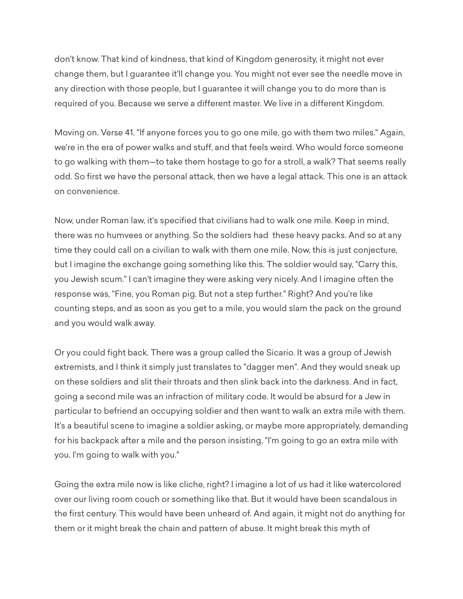don't know. That kind of kindness, that kind of Kingdom generosity, it might not ever change them, but I guarantee it'll change you. You might not ever see the needle move in any direction with those people, but I guarantee it will change you to do more than is required of you. Because we serve a different master. We live in a different Kingdom.

Moving on. Verse 41. "If anyone forces you to go one mile, go with them two miles." Again, we're in the era of power walks and stuff, and that feels weird. Who would force someone to go walking with them—to take them hostage to go for a stroll, a walk? That seems really odd. So first we have the personal attack, then we have a legal attack. This one is an attack on convenience.

Now, under Roman law, it's specified that civilians had to walk one mile. Keep in mind, there was no humvees or anything. So the soldiers had these heavy packs. And so at any time they could call on a civilian to walk with them one mile. Now, this is just conjecture, but I imagine the exchange going something like this. The soldier would say, "Carry this, you Jewish scum." I can't imagine they were asking very nicely. And I imagine often the response was, "Fine, you Roman pig. But not a step further." Right? And you're like counting steps, and as soon as you get to a mile, you would slam the pack on the ground and you would walk away.

Or you could fight back. There was a group called the Sicario. It was a group of Jewish extremists, and I think it simply just translates to "dagger men". And they would sneak up on these soldiers and slit their throats and then slink back into the darkness. And in fact, going a second mile was an infraction of military code. It would be absurd for a Jew in particular to befriend an occupying soldier and then want to walk an extra mile with them. It's a beautiful scene to imagine a soldier asking, or maybe more appropriately, demanding for his backpack after a mile and the person insisting, "I'm going to go an extra mile with you. I'm going to walk with you."

Going the extra mile now is like cliche, right? I imagine a lot of us had it like watercolored over our living room couch or something like that. But it would have been scandalous in the first century. This would have been unheard of. And again, it might not do anything for them or it might break the chain and pattern of abuse. It might break this myth of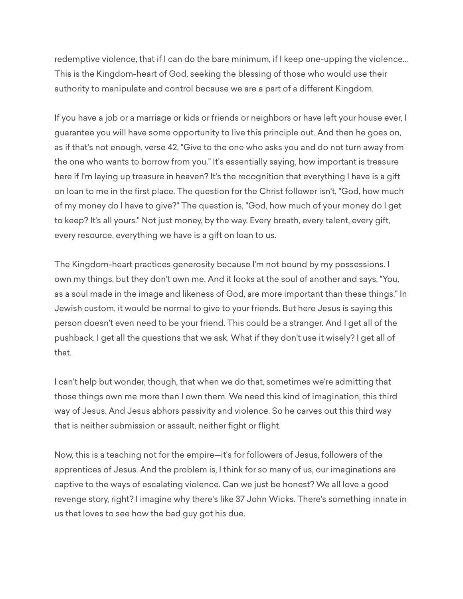redemptive violence, that if I can do the bare minimum, if I keep one-upping the violence... This is the Kingdom-heart of God, seeking the blessing of those who would use their authority to manipulate and control because we are a part of a different Kingdom.

If you have a job or a marriage or kids or friends or neighbors or have left your house ever, I guarantee you will have some opportunity to live this principle out. And then he goes on, as if that's not enough, verse 42, "Give to the one who asks you and do not turn away from the one who wants to borrow from you." It's essentially saying, how important is treasure here if I'm laying up treasure in heaven? It's the recognition that everything I have is a gift on loan to me in the first place. The question for the Christ follower isn't, "God, how much of my money do I have to give?" The question is, "God, how much of your money do I get to keep? It's all yours." Not just money, by the way. Every breath, every talent, every gift, every resource, everything we have is a gift on loan to us.

The Kingdom-heart practices generosity because I'm not bound by my possessions. I own my things, but they don't own me. And it looks at the soul of another and says, "You, as a soul made in the image and likeness of God, are more important than these things." In Jewish custom, it would be normal to give to your friends. But here Jesus is saying this person doesn't even need to be your friend. This could be a stranger. And I get all of the pushback. I get all the questions that we ask. What if they don't use it wisely? I get all of that.

I can't help but wonder, though, that when we do that, sometimes we're admitting that those things own me more than I own them. We need this kind of imagination, this third way of Jesus. And Jesus abhors passivity and violence. So he carves out this third way that is neither submission or assault, neither fight or flight.

Now, this is a teaching not for the empire—it's for followers of Jesus, followers of the apprentices of Jesus. And the problem is, I think for so many of us, our imaginations are captive to the ways of escalating violence. Can we just be honest? We all love a good revenge story, right? I imagine why there's like 37 John Wicks. There's something innate in us that loves to see how the bad guy got his due.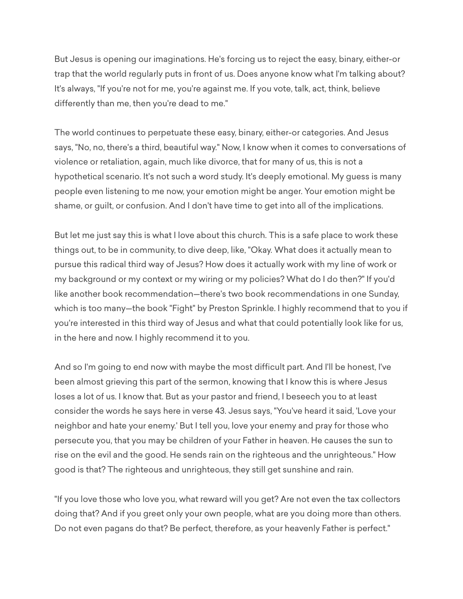But Jesus is opening our imaginations. He's forcing us to reject the easy, binary, either-or trap that the world regularly puts in front of us. Does anyone know what I'm talking about? It's always, "If you're not for me, you're against me. If you vote, talk, act, think, believe differently than me, then you're dead to me."

The world continues to perpetuate these easy, binary, either-or categories. And Jesus says, "No, no, there's a third, beautiful way." Now, I know when it comes to conversations of violence or retaliation, again, much like divorce, that for many of us, this is not a hypothetical scenario. It's not such a word study. It's deeply emotional. My guess is many people even listening to me now, your emotion might be anger. Your emotion might be shame, or guilt, or confusion. And I don't have time to get into all of the implications.

But let me just say this is what I love about this church. This is a safe place to work these things out, to be in community, to dive deep, like, "Okay. What does it actually mean to pursue this radical third way of Jesus? How does it actually work with my line of work or my background or my context or my wiring or my policies? What do I do then?" If you'd like another book recommendation—there's two book recommendations in one Sunday, which is too many—the book "Fight" by Preston Sprinkle. I highly recommend that to you if you're interested in this third way of Jesus and what that could potentially look like for us, in the here and now. I highly recommend it to you.

And so I'm going to end now with maybe the most difficult part. And I'll be honest, I've been almost grieving this part of the sermon, knowing that I know this is where Jesus loses a lot of us. I know that. But as your pastor and friend, I beseech you to at least consider the words he says here in verse 43. Jesus says, "You've heard it said, 'Love your neighbor and hate your enemy.' But I tell you, love your enemy and pray for those who persecute you, that you may be children of your Father in heaven. He causes the sun to rise on the evil and the good. He sends rain on the righteous and the unrighteous." How good is that? The righteous and unrighteous, they still get sunshine and rain.

"If you love those who love you, what reward will you get? Are not even the tax collectors doing that? And if you greet only your own people, what are you doing more than others. Do not even pagans do that? Be perfect, therefore, as your heavenly Father is perfect."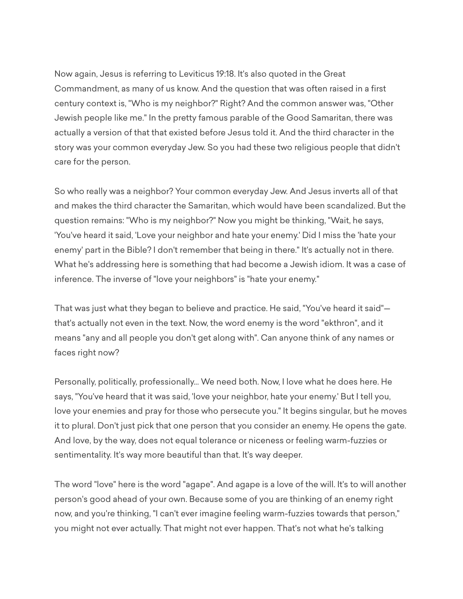Now again, Jesus is referring to Leviticus 19:18. It's also quoted in the Great Commandment, as many of us know. And the question that was often raised in a first century context is, "Who is my neighbor?" Right? And the common answer was, "Other Jewish people like me." In the pretty famous parable of the Good Samaritan, there was actually a version of that that existed before Jesus told it. And the third character in the story was your common everyday Jew. So you had these two religious people that didn't care for the person.

So who really was a neighbor? Your common everyday Jew. And Jesus inverts all of that and makes the third character the Samaritan, which would have been scandalized. But the question remains: "Who is my neighbor?" Now you might be thinking, "Wait, he says, 'You've heard it said, 'Love your neighbor and hate your enemy.' Did I miss the 'hate your enemy' part in the Bible? I don't remember that being in there." It's actually not in there. What he's addressing here is something that had become a Jewish idiom. It was a case of inference. The inverse of "love your neighbors" is "hate your enemy."

That was just what they began to believe and practice. He said, "You've heard it said" that's actually not even in the text. Now, the word enemy is the word "ekthron", and it means "any and all people you don't get along with". Can anyone think of any names or faces right now?

Personally, politically, professionally... We need both. Now, I love what he does here. He says, "You've heard that it was said, 'love your neighbor, hate your enemy.' But I tell you, love your enemies and pray for those who persecute you." It begins singular, but he moves it to plural. Don't just pick that one person that you consider an enemy. He opens the gate. And love, by the way, does not equal tolerance or niceness or feeling warm-fuzzies or sentimentality. It's way more beautiful than that. It's way deeper.

The word "love" here is the word "agape". And agape is a love of the will. It's to will another person's good ahead of your own. Because some of you are thinking of an enemy right now, and you're thinking, "I can't ever imagine feeling warm-fuzzies towards that person," you might not ever actually. That might not ever happen. That's not what he's talking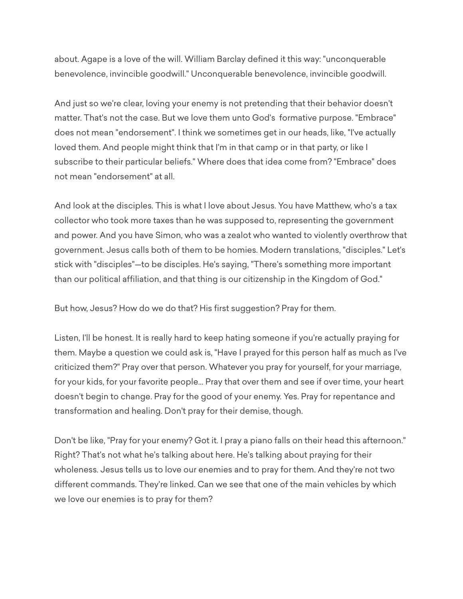about. Agape is a love of the will. William Barclay defined it this way: "unconquerable benevolence, invincible goodwill." Unconquerable benevolence, invincible goodwill.

And just so we're clear, loving your enemy is not pretending that their behavior doesn't matter. That's not the case. But we love them unto God's formative purpose. "Embrace" does not mean "endorsement". I think we sometimes get in our heads, like, "I've actually loved them. And people might think that I'm in that camp or in that party, or like I subscribe to their particular beliefs." Where does that idea come from? "Embrace" does not mean "endorsement" at all.

And look at the disciples. This is what I love about Jesus. You have Matthew, who's a tax collector who took more taxes than he was supposed to, representing the government and power. And you have Simon, who was a zealot who wanted to violently overthrow that government. Jesus calls both of them to be homies. Modern translations, "disciples." Let's stick with "disciples"—to be disciples. He's saying, "There's something more important than our political affiliation, and that thing is our citizenship in the Kingdom of God."

But how, Jesus? How do we do that? His first suggestion? Pray for them.

Listen, I'll be honest. It is really hard to keep hating someone if you're actually praying for them. Maybe a question we could ask is, "Have I prayed for this person half as much as I've criticized them?" Pray over that person. Whatever you pray for yourself, for your marriage, for your kids, for your favorite people... Pray that over them and see if over time, your heart doesn't begin to change. Pray for the good of your enemy. Yes. Pray for repentance and transformation and healing. Don't pray for their demise, though.

Don't be like, "Pray for your enemy? Got it. I pray a piano falls on their head this afternoon." Right? That's not what he's talking about here. He's talking about praying for their wholeness. Jesus tells us to love our enemies and to pray for them. And they're not two different commands. They're linked. Can we see that one of the main vehicles by which we love our enemies is to pray for them?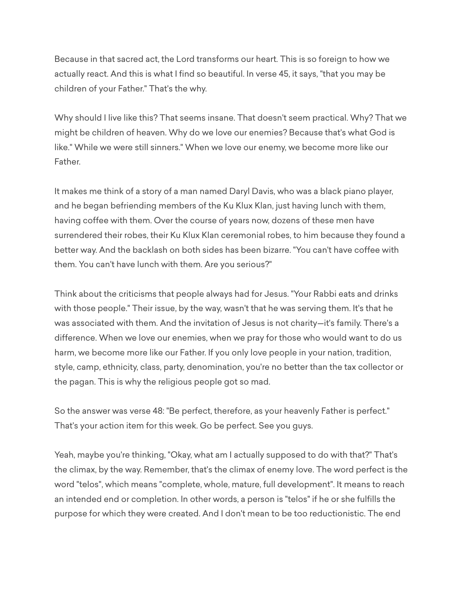Because in that sacred act, the Lord transforms our heart. This is so foreign to how we actually react. And this is what I find so beautiful. In verse 45, it says, "that you may be children of your Father." That's the why.

Why should I live like this? That seems insane. That doesn't seem practical. Why? That we might be children of heaven. Why do we love our enemies? Because that's what God is like." While we were still sinners." When we love our enemy, we become more like our Father.

It makes me think of a story of a man named Daryl Davis, who was a black piano player, and he began befriending members of the Ku Klux Klan, just having lunch with them, having coffee with them. Over the course of years now, dozens of these men have surrendered their robes, their Ku Klux Klan ceremonial robes, to him because they found a better way. And the backlash on both sides has been bizarre. "You can't have coffee with them. You can't have lunch with them. Are you serious?"

Think about the criticisms that people always had for Jesus. "Your Rabbi eats and drinks with those people." Their issue, by the way, wasn't that he was serving them. It's that he was associated with them. And the invitation of Jesus is not charity—it's family. There's a difference. When we love our enemies, when we pray for those who would want to do us harm, we become more like our Father. If you only love people in your nation, tradition, style, camp, ethnicity, class, party, denomination, you're no better than the tax collector or the pagan. This is why the religious people got so mad.

So the answer was verse 48: "Be perfect, therefore, as your heavenly Father is perfect." That's your action item for this week. Go be perfect. See you guys.

Yeah, maybe you're thinking, "Okay, what am I actually supposed to do with that?" That's the climax, by the way. Remember, that's the climax of enemy love. The word perfect is the word "telos", which means "complete, whole, mature, full development". It means to reach an intended end or completion. In other words, a person is "telos" if he or she fulfills the purpose for which they were created. And I don't mean to be too reductionistic. The end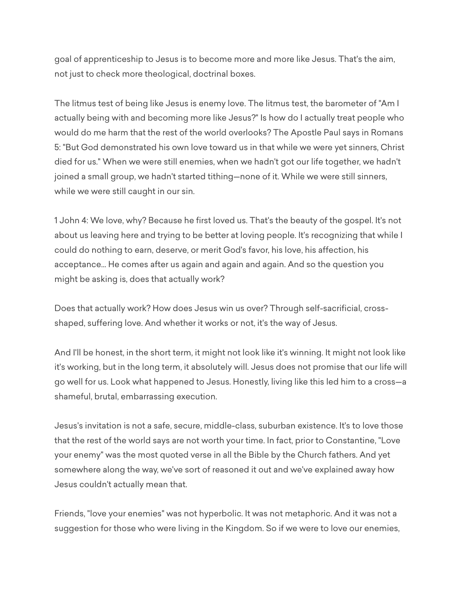goal of apprenticeship to Jesus is to become more and more like Jesus. That's the aim, not just to check more theological, doctrinal boxes.

The litmus test of being like Jesus is enemy love. The litmus test, the barometer of "Am I actually being with and becoming more like Jesus?" Is how do I actually treat people who would do me harm that the rest of the world overlooks? The Apostle Paul says in Romans 5: "But God demonstrated his own love toward us in that while we were yet sinners, Christ died for us." When we were still enemies, when we hadn't got our life together, we hadn't joined a small group, we hadn't started tithing—none of it. While we were still sinners, while we were still caught in our sin.

1 John 4: We love, why? Because he first loved us. That's the beauty of the gospel. It's not about us leaving here and trying to be better at loving people. It's recognizing that while I could do nothing to earn, deserve, or merit God's favor, his love, his affection, his acceptance... He comes after us again and again and again. And so the question you might be asking is, does that actually work?

Does that actually work? How does Jesus win us over? Through self-sacrificial, crossshaped, suffering love. And whether it works or not, it's the way of Jesus.

And I'll be honest, in the short term, it might not look like it's winning. It might not look like it's working, but in the long term, it absolutely will. Jesus does not promise that our life will go well for us. Look what happened to Jesus. Honestly, living like this led him to a cross—a shameful, brutal, embarrassing execution.

Jesus's invitation is not a safe, secure, middle-class, suburban existence. It's to love those that the rest of the world says are not worth your time. In fact, prior to Constantine, "Love your enemy" was the most quoted verse in all the Bible by the Church fathers. And yet somewhere along the way, we've sort of reasoned it out and we've explained away how Jesus couldn't actually mean that.

Friends, "love your enemies" was not hyperbolic. It was not metaphoric. And it was not a suggestion for those who were living in the Kingdom. So if we were to love our enemies,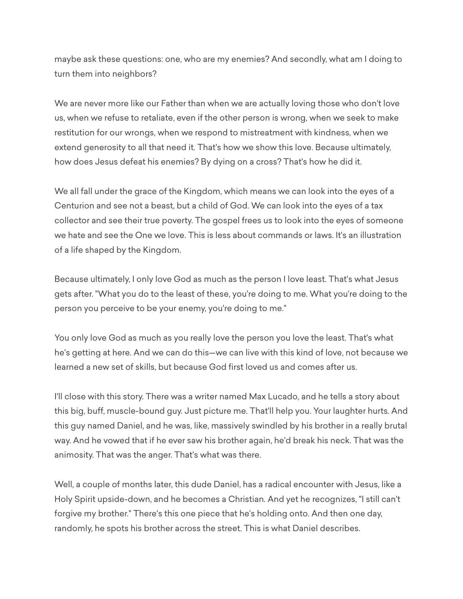maybe ask these questions: one, who are my enemies? And secondly, what am I doing to turn them into neighbors?

We are never more like our Father than when we are actually loving those who don't love us, when we refuse to retaliate, even if the other person is wrong, when we seek to make restitution for our wrongs, when we respond to mistreatment with kindness, when we extend generosity to all that need it. That's how we show this love. Because ultimately, how does Jesus defeat his enemies? By dying on a cross? That's how he did it.

We all fall under the grace of the Kingdom, which means we can look into the eyes of a Centurion and see not a beast, but a child of God. We can look into the eyes of a tax collector and see their true poverty. The gospel frees us to look into the eyes of someone we hate and see the One we love. This is less about commands or laws. It's an illustration of a life shaped by the Kingdom.

Because ultimately, I only love God as much as the person I love least. That's what Jesus gets after. "What you do to the least of these, you're doing to me. What you're doing to the person you perceive to be your enemy, you're doing to me."

You only love God as much as you really love the person you love the least. That's what he's getting at here. And we can do this—we can live with this kind of love, not because we learned a new set of skills, but because God first loved us and comes after us.

I'll close with this story. There was a writer named Max Lucado, and he tells a story about this big, buff, muscle-bound guy. Just picture me. That'll help you. Your laughter hurts. And this guy named Daniel, and he was, like, massively swindled by his brother in a really brutal way. And he vowed that if he ever saw his brother again, he'd break his neck. That was the animosity. That was the anger. That's what was there.

Well, a couple of months later, this dude Daniel, has a radical encounter with Jesus, like a Holy Spirit upside-down, and he becomes a Christian. And yet he recognizes, "I still can't forgive my brother." There's this one piece that he's holding onto. And then one day, randomly, he spots his brother across the street. This is what Daniel describes.